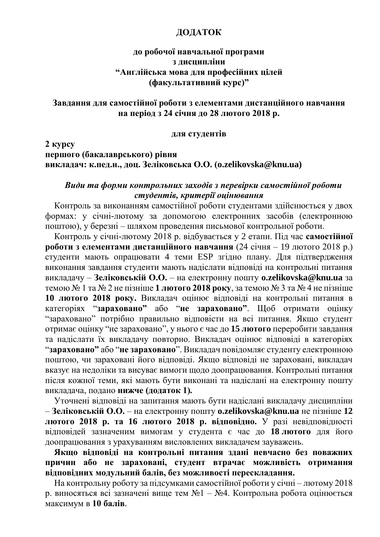#### **ДОДАТОК**

### **до робочої навчальної програми з дисципліни "Англійська мова для професійних цілей (факультативний курс)"**

### **Завдання для самостійної роботи з елементами дистанційного навчання на період з 24 січня до 28 лютого 2018 р.**

#### **для студентів**

**2 курсу першого (бакалаврського) рівня викладач: к.пед.н., доц. Зеліковська О.О. (o.zelikovska@knu.ua)**

### *Види та форми контрольних заходів з перевірки самостійної роботи студентів, критерії оцінювання*

Контроль за виконанням самостійної роботи студентами здійснюється у двох формах: у січні-лютому за допомогою електронних засобів (електронною поштою), у березні – шляхом проведення письмової контрольної роботи.

Контроль у січні-лютому 2018 р. відбувається у 2 етапи. Під час **самостійної роботи з елементами дистанційного навчання** (24 січня – 19 лютого 2018 р.) студенти мають опрацювати 4 теми ESP згідно плану. Для підтвердження виконання завдання студенти мають надіслати відповіді на контрольні питання викладачу – **Зеліковській О.О.** – на електронну пошту **o.zelikovska@knu.ua** за темою № 1 та № 2 не пізніше **1 лютого 2018 року**, за темою № 3 та № 4 не пізніше **10 лютого 2018 року.** Викладач оцінює відповіді на контрольні питання в категоріях "**зараховано"** або "**не зараховано"**. Щоб отримати оцінку "зараховано" потрібно правильно відповісти на всі питання. Якщо студент отримає оцінку "не зараховано", у нього є час до **15 лютого** переробити завдання та надіслати їх викладачу повторно. Викладач оцінює відповіді в категоріях "**зараховано"** або "**не зараховано**". Викладач повідомляє студенту електронною поштою, чи зараховані його відповіді. Якщо відповіді не зараховані, викладач вказує на недоліки та висуває вимоги щодо доопрацювання. Контрольні питання після кожної теми, які мають бути виконані та надіслані на електронну пошту викладача, подано **нижче (додаток 1)***.*

Уточнені відповіді на запитання мають бути надіслані викладачу дисципліни – **Зеліковській О.О.** – на електронну пошту **o.zelikovska@knu.ua** не пізніше **12 лютого 2018 р. та 16 лютого 2018 р. відповідно.** У разі невідповідності відповідей зазначеним вимогам у студента є час до **18 лютого** для його доопрацювання з урахуванням висловлених викладачем зауважень.

**Якщо відповіді на контрольні питання здані невчасно без поважних причин або не зараховані, студент втрачає можливість отримання відповідних модульний балів, без можливості перескладання.**

На контрольну роботу за підсумками самостійної роботи у січні – лютому 2018 р. виносяться всі зазначені вище тем №1 – №4. Контрольна робота оцінюється максимум в **10 балів**.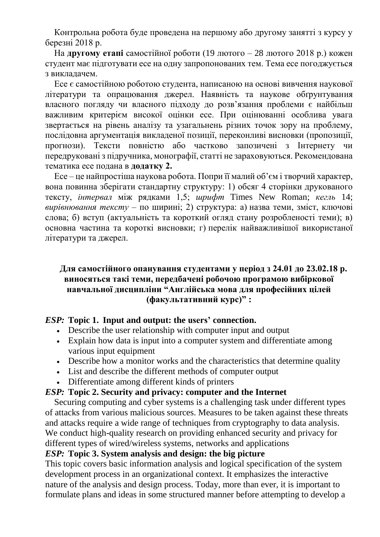Контрольна робота буде проведена на першому або другому занятті з курсу у березні 2018 р.

На **другому етапі** самостійної роботи (19 лютого – 28 лютого 2018 р.) кожен студент має підготувати есе на одну запропонованих тем. Тема есе погоджується з викладачем.

Есе є самостійною роботою студента, написаною на основі вивчення наукової літератури та опрацювання джерел. Наявність та наукове обґрунтування власного погляду чи власного підходу до розв'язання проблеми є найбільш важливим критерієм високої оцінки есе. При оцінюванні особлива увага звертається на рівень аналізу та узагальнень різних точок зору на проблему, послідовна аргументація викладеної позиції, переконливі висновки (пропозиції, прогнози). Тексти повністю або частково запозичені з Інтернету чи передруковані з підручника, монографії, статті не зараховуються. Рекомендована тематика есе подана в **додатку 2.**

Есе – це найпростіша наукова робота. Попри її малий об'єм і творчий характер, вона повинна зберігати стандартну структуру: 1) обсяг 4 сторінки друкованого тексту, *інтервал* між рядками 1,5; *шрифт* Times New Roman; *кегль* 14; *вирівнювання тексту* – по ширині; 2) структура: а) назва теми, зміст, ключові слова; б) вступ (актуальність та короткий огляд стану розробленості теми); в) основна частина та короткі висновки; г) перелік найважливішої використаної літератури та джерел.

## **Для самостійного опанування студентами у період з 24.01 до 23.02.18 р. виносяться такі теми, передбачені робочою програмою вибіркової навчальної дисципліни "Англійська мова для професійних цілей (факультативний курс)" :**

### *ESP:* **Topic 1. Input and output: the users' connection.**

- Describe the user relationship with computer input and output
- Explain how data is input into a computer system and differentiate among various input equipment
- Describe how a monitor works and the characteristics that determine quality
- List and describe the different methods of computer output
- Differentiate among different kinds of printers

### *ESP:* **Topic 2. Security and privacy: computer and the Internet**

Securing computing and cyber systems is a challenging task under different types of attacks from various malicious sources. Measures to be taken against these threats and attacks require a wide range of techniques from cryptography to data analysis. We conduct high-quality research on providing enhanced security and privacy for different types of wired/wireless systems, networks and applications

### *ESP:* **Topic 3. System analysis and design: the big picture**

This topic covers basic information analysis and logical specification of the system development process in an organizational context. It emphasizes the interactive nature of the analysis and design process. Today, more than ever, it is important to formulate plans and ideas in some structured manner before attempting to develop a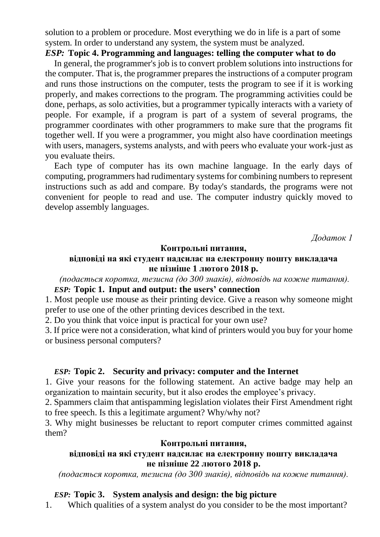solution to a problem or procedure. Most everything we do in life is a part of some system. In order to understand any system, the system must be analyzed.

# *ESP:* **Topic 4. Programming and languages: telling the computer what to do**

In general, the programmer's job is to convert problem solutions into instructions for the computer. That is, the programmer prepares the instructions of a computer program and runs those instructions on the computer, tests the program to see if it is working properly, and makes corrections to the program. The programming activities could be done, perhaps, as solo activities, but a programmer typically interacts with a variety of people. For example, if a program is part of a system of several programs, the programmer coordinates with other programmers to make sure that the programs fit together well. If you were a programmer, you might also have coordination meetings with users, managers, systems analysts, and with peers who evaluate your work-just as you evaluate theirs.

Each type of computer has its own machine language. In the early days of computing, programmers had rudimentary systems for combining numbers to represent instructions such as add and compare. By today's standards, the programs were not convenient for people to read and use. The computer industry quickly moved to develop assembly languages.

*Додаток 1*

#### **Контрольні питання,**

#### **відповіді на які студент надсилає на електронну пошту викладача не пізніше 1 лютого 2018 р.**

*(подається коротка, тезисна (до 300 знаків), відповідь на кожне питання).*

## *ESP:* **Topic 1. Input and output: the users' connection**

1. Most people use mouse as their printing device. Give a reason why someone might prefer to use one of the other printing devices described in the text.

2. Do you think that voice input is practical for your own use?

3. If price were not a consideration, what kind of printers would you buy for your home or business personal computers?

#### *ESP:* **Topic 2. Security and privacy: computer and the Internet**

1. Give your reasons for the following statement. An active badge may help an organization to maintain security, but it also erodes the employee's privacy.

2. Spammers claim that antispamming legislation violates their First Amendment right to free speech. Is this a legitimate argument? Why/why not?

3. Why might businesses be reluctant to report computer crimes committed against them?

#### **Контрольні питання,**

### **відповіді на які студент надсилає на електронну пошту викладача не пізніше 22 лютого 2018 р.**

*(подається коротка, тезисна (до 300 знаків), відповідь на кожне питання).*

#### *ESP:* **Topic 3. System analysis and design: the big picture**

1. Which qualities of a system analyst do you consider to be the most important?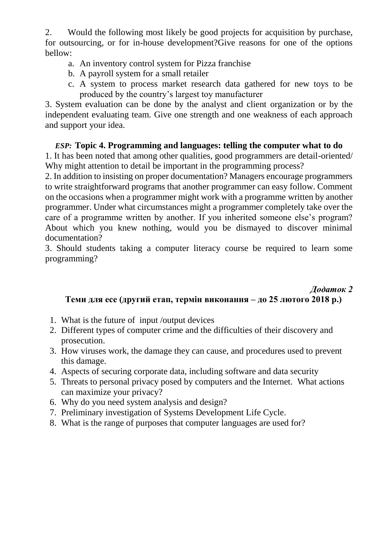2. Would the following most likely be good projects for acquisition by purchase, for outsourcing, or for in-house development?Give reasons for one of the options bellow:

- a. An inventory control system for Pizza franchise
- b. A payroll system for a small retailer
- c. A system to process market research data gathered for new toys to be produced by the country's largest toy manufacturer

3. System evaluation can be done by the analyst and client organization or by the independent evaluating team. Give one strength and one weakness of each approach and support your idea.

# *ESP:* **Topic 4. Programming and languages: telling the computer what to do**

1. It has been noted that among other qualities, good programmers are detail-oriented/ Why might attention to detail be important in the programming process?

2. In addition to insisting on proper documentation? Managers encourage programmers to write straightforward programs that another programmer can easy follow. Comment on the occasions when a programmer might work with a programme written by another programmer. Under what circumstances might a programmer completely take over the care of a programme written by another. If you inherited someone else's program? About which you knew nothing, would you be dismayed to discover minimal documentation?

3. Should students taking a computer literacy course be required to learn some programming?

## *Додаток 2* **Теми для есе (другий етап, термін виконання – до 25 лютого 2018 р.)**

- 1. What is the future of input /output devices
- 2. Different types of computer crime and the difficulties of their discovery and prosecution.
- 3. How viruses work, the damage they can cause, and procedures used to prevent this damage.
- 4. Aspects of securing corporate data, including software and data security
- 5. Threats to personal privacy posed by computers and the Internet. What actions can maximize your privacy?
- 6. Why do you need system analysis and design?
- 7. Preliminary investigation of Systems Development Life Cycle.
- 8. What is the range of purposes that computer languages are used for?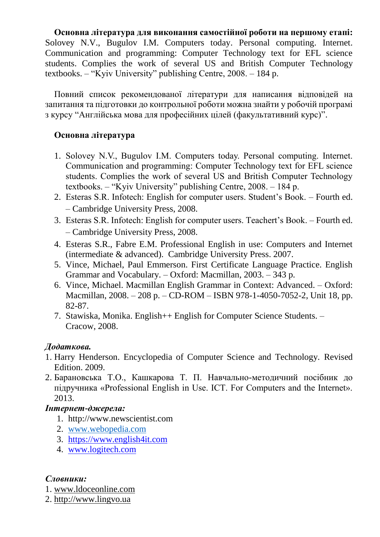**Основна література для виконання самостійної роботи на першому етапі:** Solovey N.V., Bugulov I.M. Computers today. Personal computing. Internet. Communication and programming: Computer Technology text for EFL science students. Complies the work of several US and British Computer Technology textbooks. – "Kyiv University" publishing Centre, 2008. – 184 p.

Повний список рекомендованої літератури для написання відповідей на запитання та підготовки до контрольної роботи можна знайти у робочій програмі з курсу "Англійська мова для професійних цілей (факультативний курс)".

## **Основна література**

- 1. Solovey N.V., Bugulov I.M. Computers today. Personal computing. Internet. Communication and programming: Computer Technology text for EFL science students. Complies the work of several US and British Computer Technology textbooks. – "Kyiv University" publishing Centre, 2008. – 184 p.
- 2. Esteras S.R. Infotech: English for computer users. Student's Book. Fourth ed. – Cambridge University Press, 2008.
- 3. Esteras S.R. Infotech: English for computer users. Teachert's Book. Fourth ed. – Cambridge University Press, 2008.
- 4. Esteras S.R., Fabre E.M. Professional English in use: Computers and Internet (intermediate & advanced). Cambridge University Press. 2007.
- 5. Vince, Michael, Paul Emmerson. First Certificate Language Practice. English Grammar and Vocabulary. – Oxford: Macmillan, 2003. – 343 p.
- 6. Vince, Michael. Macmillan English Grammar in Context: Advanced. Oxford: Macmillan, 2008. – 208 p. – CD-ROM – ISBN 978-1-4050-7052-2, Unit 18, pp. 82-87.
- 7. Stawiska, Monika. English++ English for Computer Science Students. Cracow, 2008.

### *Додаткова.*

- 1. Harry Henderson. Encyclopedia of Computer Science and Technology. Revised Edition. 2009.
- 2. Барановська Т.О., Кашкарова Т. П. Навчально-методичний посібник до підручника «Professional English in Use. ICT. For Computers and the Internet». 2013.

# *Інтернет-джерела:*

- 1. http://www.newscientist.com
- 2. [www.webopedia.com](http://www.webopedia.com/)
- 3. [https://www.english4it.com](https://www.english4it.com/)
- 4. [www.logitech.com](http://www.logitech.com/)

# *Словники:*

- 1. [www.ldoceonline.com](http://www.ldoceonline.com/)
- 2. [http://www.lingvo.ua](http://www.lingvo.ua/)